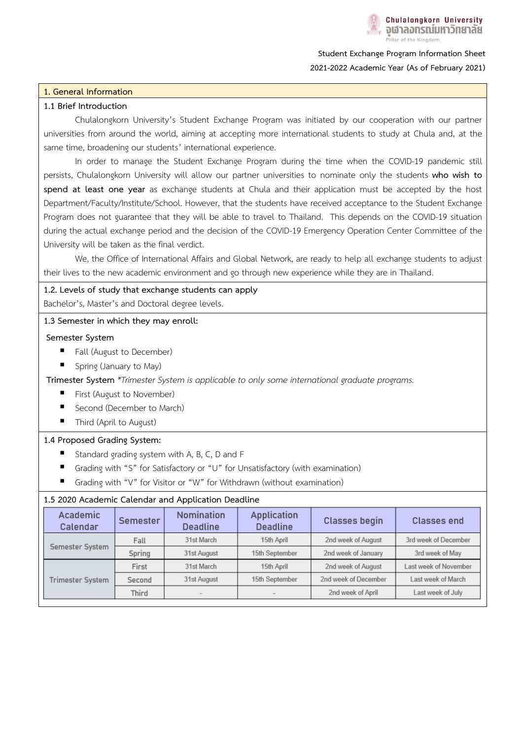

**Student Exchange Program Information Sheet 2021-2022 Academic Year (As of February 2021)**

### **1. General Information**

### **1.1 Brief Introduction**

Chulalongkorn University's Student Exchange Program was initiated by our cooperation with our partner universities from around the world, aiming at accepting more international students to study at Chula and, at the same time, broadening our students' international experience.

In order to manage the Student Exchange Program during the time when the COVID-19 pandemic still persists, Chulalongkorn University will allow our partner universities to nominate only the students **who wish to spend at least one year** as exchange students at Chula and their application must be accepted by the host Department/Faculty/Institute/School. However, that the students have received acceptance to the Student Exchange Program does not guarantee that they will be able to travel to Thailand. This depends on the COVID-19 situation during the actual exchange period and the decision of the COVID-19 Emergency Operation Center Committee of the University will be taken as the final verdict.

We, the Office of International Affairs and Global Network, are ready to help all exchange students to adjust their lives to the new academic environment and go through new experience while they are in Thailand.

#### **1.2. Levels of study that exchange students can apply**

Bachelor's, Master's and Doctoral degree levels.

### **1.3 Semester in which they may enroll:**

### **Semester System**

- Fall (August to December)
- Spring (January to May)

**Trimester System** *\*Trimester System is applicable to only some international graduate programs.*

- **First (August to November)**
- Second (December to March)
- Third (April to August)

### **1.4 Proposed Grading System:**

- Standard grading system with A, B, C, D and F
- Grading with "S" for Satisfactory or "U" for Unsatisfactory (with examination)
- Grading with "V" for Visitor or "W" for Withdrawn (without examination)

## **1.5 2020 Academic Calendar and Application Deadline**

| Academic<br>Calendar | Semester | Nomination<br><b>Deadline</b> | Application<br><b>Deadline</b> | <b>Classes begin</b> | <b>Classes end</b>    |
|----------------------|----------|-------------------------------|--------------------------------|----------------------|-----------------------|
| Semester System      | Fall     | 31st March                    | 15th April                     | 2nd week of August   | 3rd week of December  |
|                      | Spring   | 31st August                   | 15th September                 | 2nd week of January  | 3rd week of May       |
| Trimester System     | First    | 31st March                    | 15th April                     | 2nd week of August   | Last week of November |
|                      | Second   | 31st August                   | 15th September                 | 2nd week of December | Last week of March    |
|                      | Third    |                               |                                | 2nd week of April    | Last week of July     |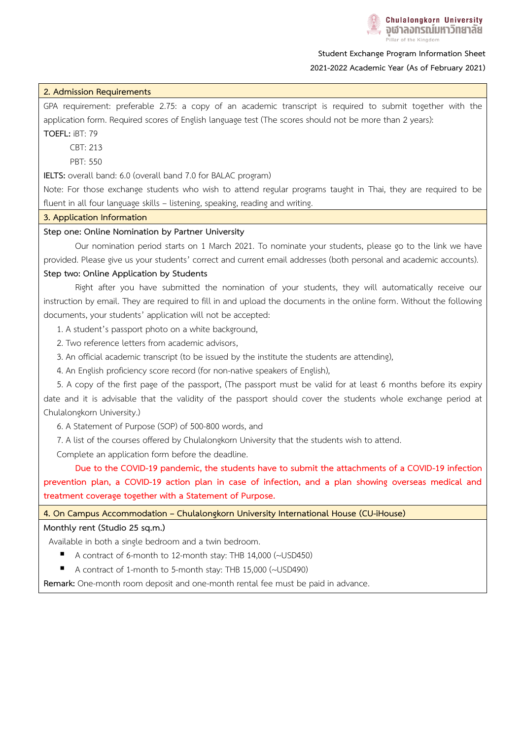# **Student Exchange Program Information Sheet 2021-2022 Academic Year (As of February 2021)**

# **2. Admission Requirements**

GPA requirement: preferable 2.75: a copy of an academic transcript is required to submit together with the application form. Required scores of English language test (The scores should not be more than 2 years):

**TOEFL:** iBT: 79

CBT: 213

PBT: 550

**IELTS:** overall band: 6.0 (overall band 7.0 for BALAC program)

Note: For those exchange students who wish to attend regular programs taught in Thai, they are required to be fluent in all four language skills – listening, speaking, reading and writing.

### **3. Application Information**

### **Step one: Online Nomination by Partner University**

Our nomination period starts on 1 March 2021. To nominate your students, please go to the link we have provided. Please give us your students' correct and current email addresses (both personal and academic accounts). **Step two: Online Application by Students**

 Right after you have submitted the nomination of your students, they will automatically receive our instruction by email. They are required to fill in and upload the documents in the online form. Without the following documents, your students' application will not be accepted:

1. A student's passport photo on a white background,

2. Two reference letters from academic advisors,

3. An official academic transcript (to be issued by the institute the students are attending),

4. An English proficiency score record (for non-native speakers of English),

 5. A copy of the first page of the passport, (The passport must be valid for at least 6 months before its expiry date and it is advisable that the validity of the passport should cover the students whole exchange period at Chulalongkorn University.)

6. A Statement of Purpose (SOP) of 500-800 words, and

7. A list of the courses offered by Chulalongkorn University that the students wish to attend.

Complete an application form before the deadline.

 **Due to the COVID-19 pandemic, the students have to submit the attachments of a COVID-19 infection prevention plan, a COVID-19 action plan in case of infection, and a plan showing overseas medical and treatment coverage together with a Statement of Purpose.** 

**4. On Campus Accommodation – Chulalongkorn University International House (CU-iHouse)**

### **Monthly rent (Studio 25 sq.m.)**

Available in both a single bedroom and a twin bedroom.

- A contract of 6-month to 12-month stay: THB 14,000 (~USD450)
- A contract of 1-month to 5-month stay: THB 15,000 (~USD490)

**Remark:** One-month room deposit and one-month rental fee must be paid in advance.